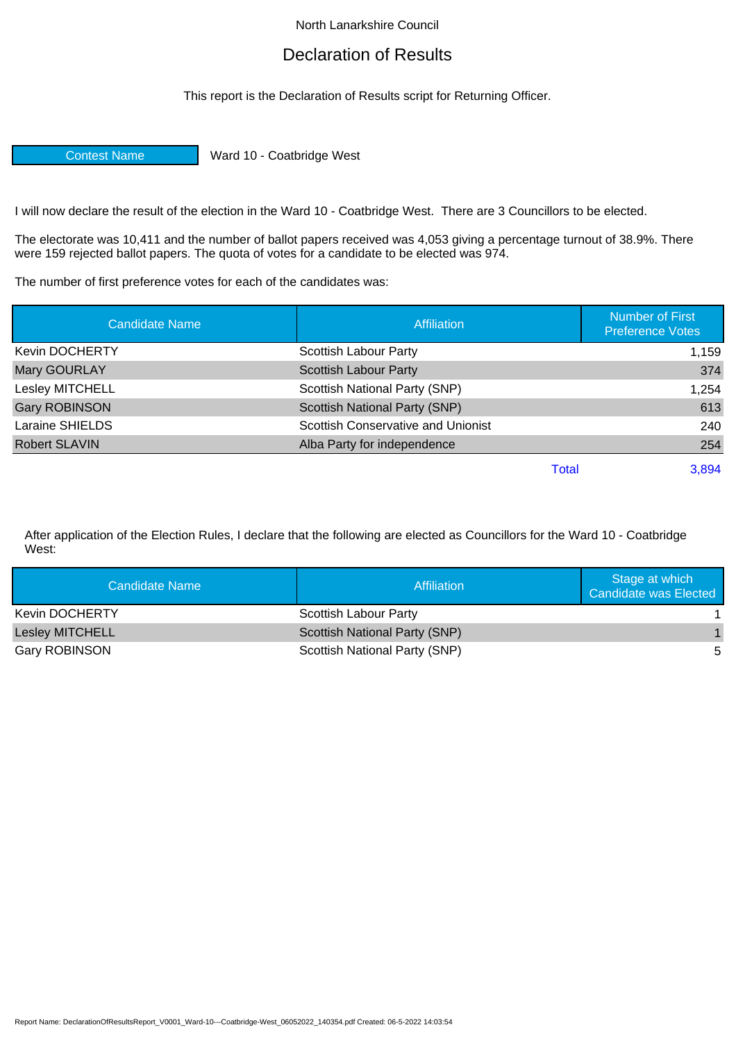## North Lanarkshire Council

## Declaration of Results

This report is the Declaration of Results script for Returning Officer.

Contest Name Ward 10 - Coatbridge West

I will now declare the result of the election in the Ward 10 - Coatbridge West. There are 3 Councillors to be elected.

The electorate was 10,411 and the number of ballot papers received was 4,053 giving a percentage turnout of 38.9%. There were 159 rejected ballot papers. The quota of votes for a candidate to be elected was 974.

The number of first preference votes for each of the candidates was:

| <b>Candidate Name</b> | <b>Affiliation</b>                   | <b>Number of First</b><br><b>Preference Votes</b> |
|-----------------------|--------------------------------------|---------------------------------------------------|
| <b>Kevin DOCHERTY</b> | Scottish Labour Party                | 1,159                                             |
| Mary GOURLAY          | <b>Scottish Labour Party</b>         | 374                                               |
| Lesley MITCHELL       | Scottish National Party (SNP)        | 1,254                                             |
| <b>Gary ROBINSON</b>  | <b>Scottish National Party (SNP)</b> | 613                                               |
| Laraine SHIELDS       | Scottish Conservative and Unionist   | 240                                               |
| <b>Robert SLAVIN</b>  | Alba Party for independence          | 254                                               |
|                       | Total                                | 3,894                                             |

After application of the Election Rules, I declare that the following are elected as Councillors for the Ward 10 - Coatbridge West:

| Candidate Name        | Affiliation                   | Stage at which<br><b>Candidate was Elected</b> |
|-----------------------|-------------------------------|------------------------------------------------|
| <b>Kevin DOCHERTY</b> | Scottish Labour Party         |                                                |
| Lesley MITCHELL       | Scottish National Party (SNP) |                                                |
| Gary ROBINSON         | Scottish National Party (SNP) | 5                                              |